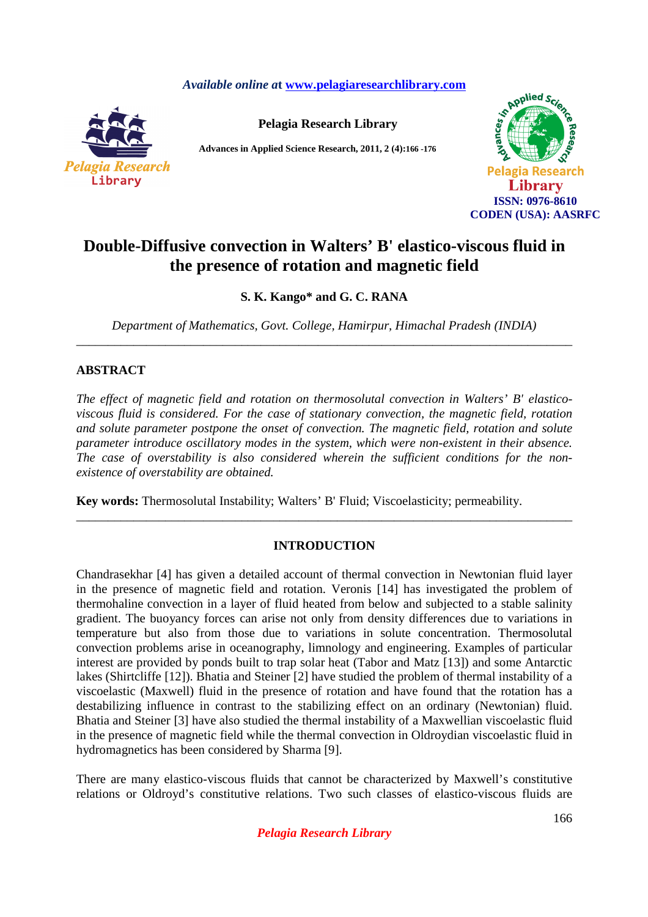*Available online a***t www.pelagiaresearchlibrary.com**



**Pelagia Research Library** 

**Advances in Applied Science Research, 2011, 2 (4):166** *-***176**



# **Double-Diffusive convection in Walters' B' elastico-viscous fluid in the presence of rotation and magnetic field**

**S. K. Kango\* and G. C. RANA** 

*Department of Mathematics, Govt. College, Hamirpur, Himachal Pradesh (INDIA)*  \_\_\_\_\_\_\_\_\_\_\_\_\_\_\_\_\_\_\_\_\_\_\_\_\_\_\_\_\_\_\_\_\_\_\_\_\_\_\_\_\_\_\_\_\_\_\_\_\_\_\_\_\_\_\_\_\_\_\_\_\_\_\_\_\_\_\_\_\_\_\_\_\_\_\_\_\_\_

# **ABSTRACT**

*The effect of magnetic field and rotation on thermosolutal convection in Walters' B' elasticoviscous fluid is considered. For the case of stationary convection, the magnetic field, rotation and solute parameter postpone the onset of convection. The magnetic field, rotation and solute parameter introduce oscillatory modes in the system, which were non-existent in their absence. The case of overstability is also considered wherein the sufficient conditions for the nonexistence of overstability are obtained.* 

**Key words:** Thermosolutal Instability; Walters' B' Fluid; Viscoelasticity; permeability.

# **INTRODUCTION**

\_\_\_\_\_\_\_\_\_\_\_\_\_\_\_\_\_\_\_\_\_\_\_\_\_\_\_\_\_\_\_\_\_\_\_\_\_\_\_\_\_\_\_\_\_\_\_\_\_\_\_\_\_\_\_\_\_\_\_\_\_\_\_\_\_\_\_\_\_\_\_\_\_\_\_\_\_\_

Chandrasekhar [4] has given a detailed account of thermal convection in Newtonian fluid layer in the presence of magnetic field and rotation. Veronis [14] has investigated the problem of thermohaline convection in a layer of fluid heated from below and subjected to a stable salinity gradient. The buoyancy forces can arise not only from density differences due to variations in temperature but also from those due to variations in solute concentration. Thermosolutal convection problems arise in oceanography, limnology and engineering. Examples of particular interest are provided by ponds built to trap solar heat (Tabor and Matz [13]) and some Antarctic lakes (Shirtcliffe [12]). Bhatia and Steiner [2] have studied the problem of thermal instability of a viscoelastic (Maxwell) fluid in the presence of rotation and have found that the rotation has a destabilizing influence in contrast to the stabilizing effect on an ordinary (Newtonian) fluid. Bhatia and Steiner [3] have also studied the thermal instability of a Maxwellian viscoelastic fluid in the presence of magnetic field while the thermal convection in Oldroydian viscoelastic fluid in hydromagnetics has been considered by Sharma [9].

There are many elastico-viscous fluids that cannot be characterized by Maxwell's constitutive relations or Oldroyd's constitutive relations. Two such classes of elastico-viscous fluids are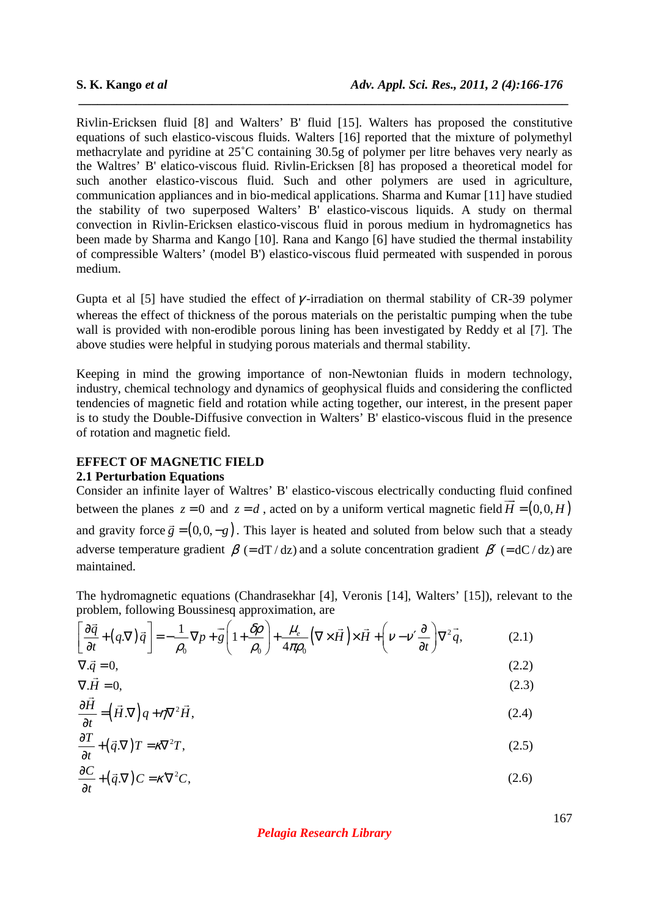Rivlin-Ericksen fluid [8] and Walters' B' fluid [15]. Walters has proposed the constitutive equations of such elastico-viscous fluids. Walters [16] reported that the mixture of polymethyl methacrylate and pyridine at 25˚C containing 30.5g of polymer per litre behaves very nearly as the Waltres' B' elatico-viscous fluid. Rivlin-Ericksen [8] has proposed a theoretical model for such another elastico-viscous fluid. Such and other polymers are used in agriculture, communication appliances and in bio-medical applications. Sharma and Kumar [11] have studied the stability of two superposed Walters' B' elastico-viscous liquids. A study on thermal convection in Rivlin-Ericksen elastico-viscous fluid in porous medium in hydromagnetics has been made by Sharma and Kango [10]. Rana and Kango [6] have studied the thermal instability of compressible Walters' (model B') elastico-viscous fluid permeated with suspended in porous medium.

 *\_\_\_\_\_\_\_\_\_\_\_\_\_\_\_\_\_\_\_\_\_\_\_\_\_\_\_\_\_\_\_\_\_\_\_\_\_\_\_\_\_\_\_\_\_\_\_\_\_\_\_\_\_\_\_\_\_\_\_\_\_\_\_\_\_\_\_\_\_\_\_\_\_\_\_\_\_*

Gupta et al [5] have studied the effect of  $\gamma$ -irradiation on thermal stability of CR-39 polymer whereas the effect of thickness of the porous materials on the peristaltic pumping when the tube wall is provided with non-erodible porous lining has been investigated by Reddy et al [7]. The above studies were helpful in studying porous materials and thermal stability.

Keeping in mind the growing importance of non-Newtonian fluids in modern technology, industry, chemical technology and dynamics of geophysical fluids and considering the conflicted tendencies of magnetic field and rotation while acting together, our interest, in the present paper is to study the Double-Diffusive convection in Walters' B' elastico-viscous fluid in the presence of rotation and magnetic field.

#### **EFFECT OF MAGNETIC FIELD 2.1 Perturbation Equations**

Consider an infinite layer of Waltres' B' elastico-viscous electrically conducting fluid confined between the planes  $z = 0$  and  $z = d$ , acted on by a uniform vertical magnetic field  $\vec{H} = (0,0,H)$ and gravity force  $\vec{g} = (0, 0, -g)$  $\rightarrow$ . This layer is heated and soluted from below such that a steady adverse temperature gradient  $\beta$  (= dT / dz) and a solute concentration gradient  $\beta'$  (= dC / dz) are maintained.

The hydromagnetic equations (Chandrasekhar [4], Veronis [14], Walters' [15]), relevant to the problem, following Boussinesq approximation, are

$$
\left[\frac{\partial \vec{q}}{\partial t} + (q.\nabla)\vec{q}\right] = -\frac{1}{\rho_0}\nabla p + \vec{g}\left(1 + \frac{\delta \rho}{\rho_0}\right) + \frac{\mu_e}{4\pi \rho_0}\left(\nabla \times \vec{H}\right) \times \vec{H} + \left(\nu - \nu' \frac{\partial}{\partial t}\right)\nabla^2 \vec{q},\tag{2.1}
$$

$$
\nabla \cdot \vec{q} = 0,\tag{2.2}
$$

$$
\nabla \cdot \vec{H} = 0,\tag{2.3}
$$

$$
\frac{\partial \vec{H}}{\partial t} = (\vec{H}.\nabla)q + \eta \nabla^2 \vec{H},\tag{2.4}
$$

$$
\frac{\partial T}{\partial t} + (\vec{q}.\nabla)T = \kappa \nabla^2 T,\tag{2.5}
$$

$$
\frac{\partial C}{\partial t} + (\vec{q}.\nabla) C = \kappa \nabla^2 C,\tag{2.6}
$$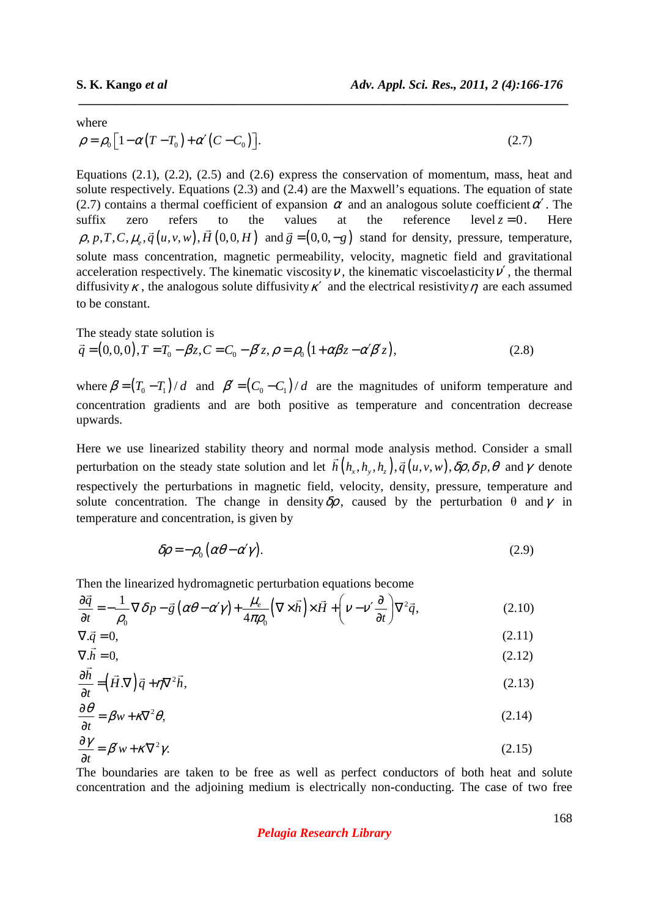where

$$
\rho = \rho_0 \left[ 1 - \alpha \left( T - T_0 \right) + \alpha' \left( C - C_0 \right) \right]. \tag{2.7}
$$

 *\_\_\_\_\_\_\_\_\_\_\_\_\_\_\_\_\_\_\_\_\_\_\_\_\_\_\_\_\_\_\_\_\_\_\_\_\_\_\_\_\_\_\_\_\_\_\_\_\_\_\_\_\_\_\_\_\_\_\_\_\_\_\_\_\_\_\_\_\_\_\_\_\_\_\_\_\_*

Equations (2.1), (2.2), (2.5) and (2.6) express the conservation of momentum, mass, heat and solute respectively. Equations (2.3) and (2.4) are the Maxwell's equations. The equation of state (2.7) contains a thermal coefficient of expansion  $\alpha$  and an analogous solute coefficient  $\alpha'$ . The suffix zero refers to the values at the reference level  $z = 0$ . Here  $\rho, p, T, C, \mu_{e}, \vec{q} (u, v, w), H (0, 0, H)$ refers  $\overrightarrow{r}$ and  $\vec{g} = (0, 0, -g)$  $\ddot{\phantom{a}}$  stand for density, pressure, temperature, solute mass concentration, magnetic permeability, velocity, magnetic field and gravitational acceleration respectively. The kinematic viscosity  $\nu$ , the kinematic viscoelasticity  $\nu'$ , the thermal diffusivity  $\kappa$ , the analogous solute diffusivity  $\kappa'$  and the electrical resistivity  $\eta$  are each assumed to be constant.

The steady state solution is

$$
\vec{q} = (0,0,0), T = T_0 - \beta z, C = C_0 - \beta' z, \rho = \rho_0 (1 + \alpha \beta z - \alpha' \beta' z),
$$
\n(2.8)

where  $\beta = (T_0 - T_1) / d$  and  $\beta' = (C_0 - C_1) / d$  are the magnitudes of uniform temperature and concentration gradients and are both positive as temperature and concentration decrease upwards.

Here we use linearized stability theory and normal mode analysis method. Consider a small perturbation on the steady state solution and let  $h(h_x, h_y, h_z), \vec{q}(u, v, w), \delta \rho, \delta p, \theta$  $\vec{r}(t, t, t)$ and  $\gamma$  denote respectively the perturbations in magnetic field, velocity, density, pressure, temperature and solute concentration. The change in density  $\delta \rho$ , caused by the perturbation  $\theta$  and  $\gamma$  in temperature and concentration, is given by

$$
\delta \rho = -\rho_0 (\alpha \theta - \alpha' \gamma). \tag{2.9}
$$

Then the linearized hydromagnetic perturbation equations become

$$
\frac{\partial \vec{q}}{\partial t} = -\frac{1}{\rho_0} \nabla \delta p - \vec{g} \left( \alpha \theta - \alpha' \gamma \right) + \frac{\mu_e}{4\pi \rho_0} \left( \nabla \times \vec{h} \right) \times \vec{H} + \left( \nu - \nu' \frac{\partial}{\partial t} \right) \nabla^2 \vec{q},
$$
\n(2.10)

$$
\nabla \cdot \vec{q} = 0,\tag{2.11}
$$
\n
$$
\nabla \cdot \vec{h} = 0,\tag{2.12}
$$

$$
\nabla \cdot h = 0,
$$
\n
$$
\frac{\partial \vec{h}}{\partial t} = (\vec{H} \cdot \nabla) \vec{q} + \eta \nabla^2 \vec{h},
$$
\n(2.13)

$$
\frac{\partial}{\partial t} = (H \cdot V)q + \eta V^2 h,\tag{2.13}
$$
\n
$$
\frac{\partial \theta}{\partial t} = \rho_{\text{max}} \frac{\partial^2 \theta}{\partial t^2} \tag{2.14}
$$

$$
\frac{\partial \theta}{\partial t} = \beta w + \kappa \nabla^2 \theta,\tag{2.14}
$$

$$
\frac{\partial \gamma}{\partial t} = \beta' w + \kappa \nabla^2 \gamma.
$$
 (2.15)

The boundaries are taken to be free as well as perfect conductors of both heat and solute concentration and the adjoining medium is electrically non-conducting. The case of two free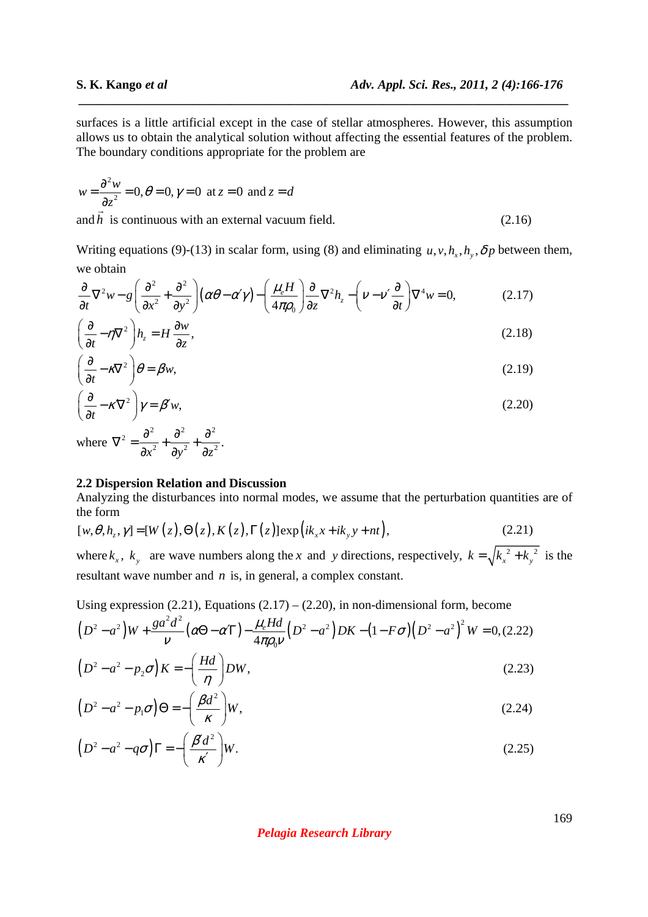surfaces is a little artificial except in the case of stellar atmospheres. However, this assumption allows us to obtain the analytical solution without affecting the essential features of the problem. The boundary conditions appropriate for the problem are

 *\_\_\_\_\_\_\_\_\_\_\_\_\_\_\_\_\_\_\_\_\_\_\_\_\_\_\_\_\_\_\_\_\_\_\_\_\_\_\_\_\_\_\_\_\_\_\_\_\_\_\_\_\_\_\_\_\_\_\_\_\_\_\_\_\_\_\_\_\_\_\_\_\_\_\_\_\_*

$$
w = \frac{\partial^2 w}{\partial z^2} = 0, \theta = 0, \gamma = 0 \text{ at } z = 0 \text{ and } z = d
$$

and *h* is continuous with an external vacuum field. (2.16)

Writing equations (9)-(13) in scalar form, using (8) and eliminating  $u, v, h_x, h_y, \delta p$  between them, we obtain

$$
\frac{\partial}{\partial t}\nabla^2 w - g\left(\frac{\partial^2}{\partial x^2} + \frac{\partial^2}{\partial y^2}\right) \left(\alpha\theta - \alpha'\gamma\right) - \left(\frac{\mu_e H}{4\pi\rho_0}\right) \frac{\partial}{\partial z}\nabla^2 h_z - \left(\nu - \nu'\frac{\partial}{\partial t}\right)\nabla^4 w = 0,\tag{2.17}
$$

$$
\left(\frac{\partial}{\partial t} - \eta \nabla^2\right) h_z = H \frac{\partial w}{\partial z},\tag{2.18}
$$

$$
\left(\frac{\partial}{\partial t} - \kappa \nabla^2\right)\theta = \beta w,\tag{2.19}
$$

$$
\left(\frac{\partial}{\partial t} - \kappa \nabla^2\right) \gamma = \beta' w,\tag{2.20}
$$

where  $z^2 = \frac{\partial^2}{\partial x^2} + \frac{\partial^2}{\partial y^2} + \frac{\partial^2}{\partial z^2}.$  $\nabla^2 = \frac{\partial^2}{\partial^2} + \frac{\partial^2}{\partial^2} + \frac{\partial}{\partial}$  $\partial x^2$   $\partial y^2$   $\partial$ 

### **2.2 Dispersion Relation and Discussion**

Analyzing the disturbances into normal modes, we assume that the perturbation quantities are of the form

$$
[w, \theta, h_z, \gamma] = [W(z), \Theta(z), K(z), \Gamma(z)] \exp\left(ik_x x + ik_y y + nt\right),\tag{2.21}
$$

where  $k_x$ ,  $k_y$  are wave numbers along the *x* and *y* directions, respectively,  $k = \sqrt{k_x^2 + k_y^2}$  is the resultant wave number and *n* is, in general, a complex constant.

Using expression  $(2.21)$ , Equations  $(2.17) - (2.20)$ , in non-dimensional form, become

$$
(D2 - a2)W + \frac{ga2d2}{\nu}(\alpha\Theta - \alpha T) - \frac{\mu_e Hd}{4\pi\rho_0\nu}(D2 - a2)DK - (1 - F\sigma)(D2 - a2)2W = 0, (2.22)
$$
  

$$
(D2 - a2 - p2\sigma)K = -\left(\frac{Hd}{\eta}\right)DW,
$$
 (2.23)

$$
\left(D^2 - a^2 - p_1 \sigma\right) \Theta = -\left(\frac{\beta d^2}{\kappa}\right) W,\tag{2.24}
$$

$$
\left(D^2 - a^2 - q\sigma\right)\Gamma = -\left(\frac{\beta' d^2}{\kappa'}\right)W.\tag{2.25}
$$

*Pelagia Research Library*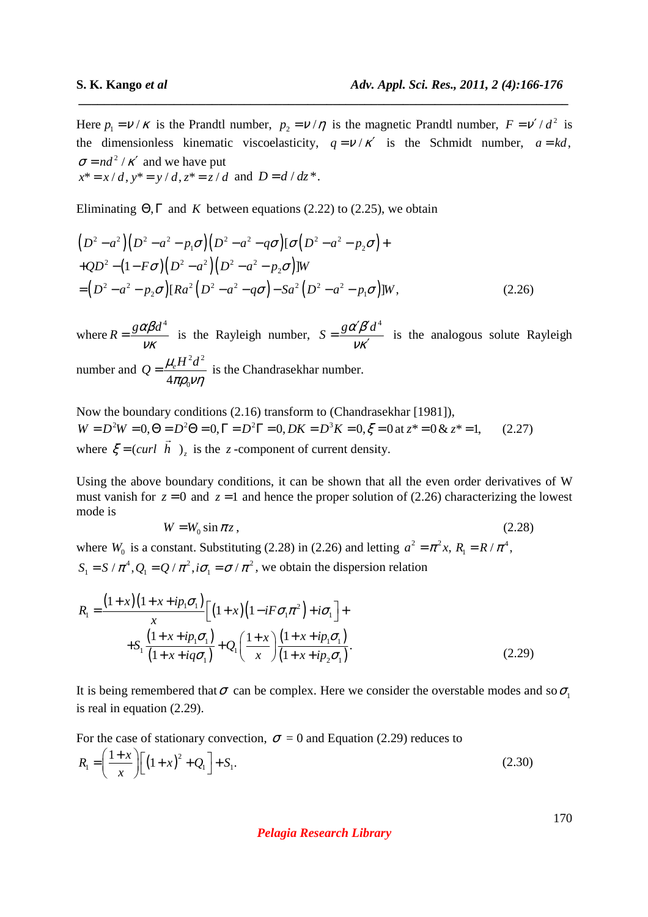Here  $p_1 = v / \kappa$  is the Prandtl number,  $p_2 = v / \eta$  is the magnetic Prandtl number,  $F = v' / d^2$  is the dimensionless kinematic viscoelasticity,  $q = v / \kappa'$  is the Schmidt number,  $a = kd$ ,  $\sigma = nd^2 / \kappa'$  and we have put  $x^* = x / d$ ,  $y^* = y / d$ ,  $z^* = z / d$  and  $D = d / dz^*$ .

 *\_\_\_\_\_\_\_\_\_\_\_\_\_\_\_\_\_\_\_\_\_\_\_\_\_\_\_\_\_\_\_\_\_\_\_\_\_\_\_\_\_\_\_\_\_\_\_\_\_\_\_\_\_\_\_\_\_\_\_\_\_\_\_\_\_\_\_\_\_\_\_\_\_\_\_\_\_*

Eliminating  $\Theta$ ,  $\Gamma$  and *K* between equations (2.22) to (2.25), we obtain

$$
(D2 - a2)(D2 - a2 - p1\sigma)(D2 - a2 - q\sigma)[\sigma(D2 - a2 - p2\sigma) ++QD2 - (1 - F\sigma)(D2 - a2)(D2 - a2 - p2\sigma)]W= (D2 - a2 - p2\sigma)[Ra2(D2 - a2 - q\sigma) - Sa2(D2 - a2 - p1\sigma)]W, (2.26)
$$

where  $R = \frac{g \alpha \beta d^4}{2}$  $=\frac{\delta \omega \mu u}{V K}$  is the Rayleigh number,  $S = \frac{g \alpha' \beta' d^4}{4}$ νκ  $'\!\beta'$ = ′ is the analogous solute Rayleigh number and  $2J^2$ 4 $\pi \rho_{\rm_{0}}$  $Q = \frac{\mu_e H^2 d}{I}$  $πρ<sub>0</sub>νη$  $=\frac{\mu_e H}{I}$  is the Chandrasekhar number.

Now the boundary conditions (2.16) transform to (Chandrasekhar [1981]),  $W = D^2 W = 0, \Theta = D^2 \Theta = 0, \Gamma = D^2 \Gamma = 0, DK = D^3 K = 0, \xi = 0 \text{ at } z^* = 0 \& z^* = 1,$  (2.27) where  $\xi = \text{(curl } h$ )<sub>z</sub> is the *z*-component of current density.

Using the above boundary conditions, it can be shown that all the even order derivatives of W must vanish for  $z = 0$  and  $z = 1$  and hence the proper solution of (2.26) characterizing the lowest mode is

$$
W = W_0 \sin \pi z, \qquad (2.28)
$$

where  $W_0$  is a constant. Substituting (2.28) in (2.26) and letting  $a^2 = \pi^2 x$ ,  $R_1 = R / \pi^4$ ,  $S_1 = S / \pi^4$ ,  $Q_1 = Q / \pi^2$ ,  $i\sigma_1 = \sigma / \pi^2$ , we obtain the dispersion relation

$$
R_{1} = \frac{(1+x)(1+x+ip_{1}\sigma_{1})}{x} \Big[ (1+x)(1-iF\sigma_{1}\pi^{2})+i\sigma_{1} \Big] +
$$
  
+
$$
S_{1} \frac{(1+x+ip_{1}\sigma_{1})}{(1+x+iq\sigma_{1})} + Q_{1} \left( \frac{1+x}{x} \right) \frac{(1+x+ip_{1}\sigma_{1})}{(1+x+ip_{2}\sigma_{1})}.
$$
 (2.29)

It is being remembered that  $\sigma$  can be complex. Here we consider the overstable modes and so  $\sigma$ . is real in equation (2.29).

For the case of stationary convection,  $\sigma = 0$  and Equation (2.29) reduces to

$$
R_{\rm I} = \left(\frac{1+x}{x}\right) \left[ \left(1+x\right)^2 + Q_{\rm I} \right] + S_{\rm I}. \tag{2.30}
$$

*Pelagia Research Library*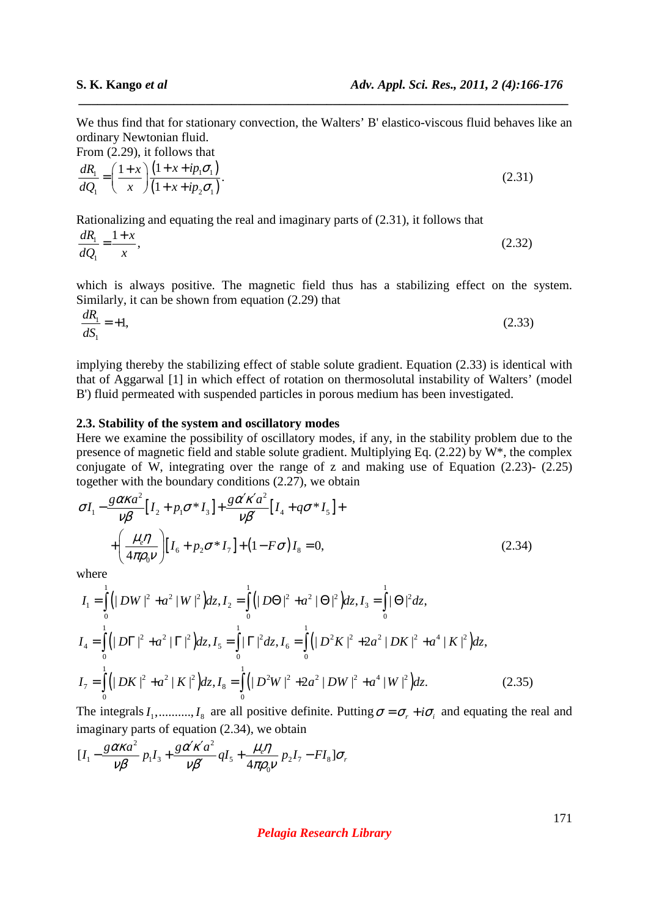We thus find that for stationary convection, the Walters' B' elastico-viscous fluid behaves like an ordinary Newtonian fluid.

 *\_\_\_\_\_\_\_\_\_\_\_\_\_\_\_\_\_\_\_\_\_\_\_\_\_\_\_\_\_\_\_\_\_\_\_\_\_\_\_\_\_\_\_\_\_\_\_\_\_\_\_\_\_\_\_\_\_\_\_\_\_\_\_\_\_\_\_\_\_\_\_\_\_\_\_\_\_*

From (2.29), it follows that

$$
\frac{dR_1}{dQ_1} = \left(\frac{1+x}{x}\right) \frac{(1+x+ip_1\sigma_1)}{(1+x+ip_2\sigma_1)}.
$$
\n(2.31)

Rationalizing and equating the real and imaginary parts of (2.31), it follows that

$$
\frac{dR_1}{dQ_1} = \frac{1+x}{x},\tag{2.32}
$$

which is always positive. The magnetic field thus has a stabilizing effect on the system. Similarly, it can be shown from equation (2.29) that

$$
\frac{dR_1}{dS_1} = +1,\tag{2.33}
$$

implying thereby the stabilizing effect of stable solute gradient. Equation (2.33) is identical with that of Aggarwal [1] in which effect of rotation on thermosolutal instability of Walters' (model B') fluid permeated with suspended particles in porous medium has been investigated.

## **2.3. Stability of the system and oscillatory modes**

Here we examine the possibility of oscillatory modes, if any, in the stability problem due to the presence of magnetic field and stable solute gradient. Multiplying Eq. (2.22) by W\*, the complex conjugate of W, integrating over the range of z and making use of Equation (2.23)- (2.25) together with the boundary conditions (2.27), we obtain

$$
\sigma I_1 - \frac{g \alpha \kappa a^2}{\nu \beta} \Big[ I_2 + p_1 \sigma^* I_3 \Big] + \frac{g \alpha' \kappa' a^2}{\nu \beta'} \Big[ I_4 + q \sigma^* I_5 \Big] +
$$
  
+ 
$$
\left( \frac{\mu_e \eta}{4 \pi \rho_0 \nu} \right) \Big[ I_6 + p_2 \sigma^* I_7 \Big] + (1 - F \sigma) I_8 = 0,
$$
 (2.34)

where

$$
I_{1} = \int_{0}^{1} \left( |DW|^{2} + a^{2} |W|^{2} \right) dz, I_{2} = \int_{0}^{1} \left( |DO|^{2} + a^{2} |O|^{2} \right) dz, I_{3} = \int_{0}^{1} |\Theta|^{2} dz,
$$
  
\n
$$
I_{4} = \int_{0}^{1} \left( |D\Gamma|^{2} + a^{2} | \Gamma|^{2} \right) dz, I_{5} = \int_{0}^{1} |\Gamma|^{2} dz, I_{6} = \int_{0}^{1} \left( |D^{2}K|^{2} + 2a^{2} |DK|^{2} + a^{4} |K|^{2} \right) dz,
$$
  
\n
$$
I_{7} = \int_{0}^{1} \left( |DK|^{2} + a^{2} |K|^{2} \right) dz, I_{8} = \int_{0}^{1} \left( |D^{2}W|^{2} + 2a^{2} |DW|^{2} + a^{4} |W|^{2} \right) dz.
$$
\n(2.35)

The integrals  $I_1$ ,.........,  $I_8$  are all positive definite. Putting  $\sigma = \sigma_r + i\sigma_i$  and equating the real and imaginary parts of equation (2.34), we obtain

$$
[I_1 - \frac{g\alpha\kappa a^2}{\nu\beta}p_1I_3 + \frac{g\alpha'\kappa'a^2}{\nu\beta'}qI_5 + \frac{\mu_e\eta}{4\pi\rho_0\nu}p_2I_7 - FI_8]\sigma_r
$$

*Pelagia Research Library*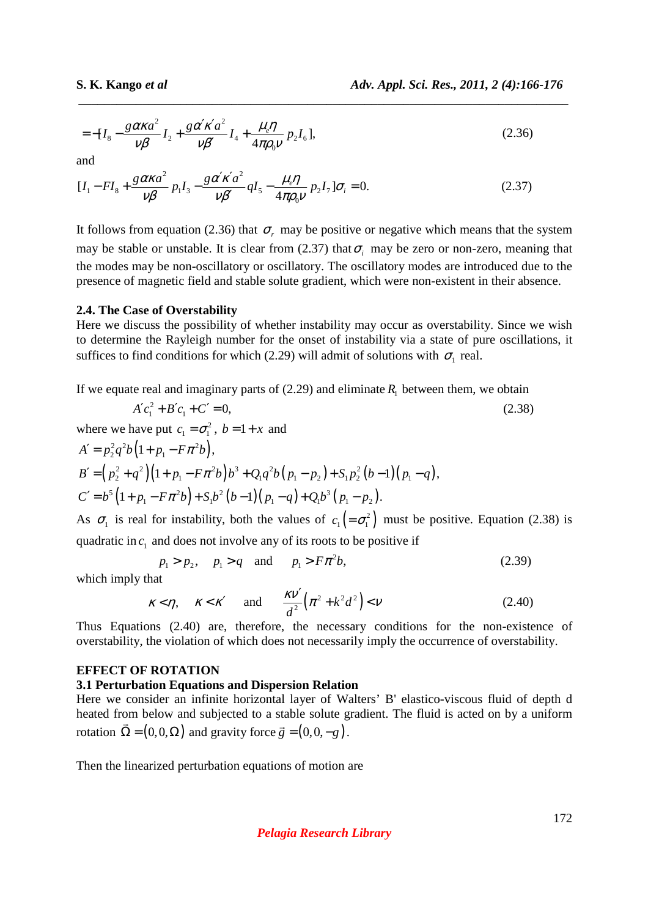$$
= -[I_8 - \frac{g \alpha \kappa a^2}{\nu \beta} I_2 + \frac{g \alpha' \kappa' a^2}{\nu \beta'} I_4 + \frac{\mu_e \eta}{4 \pi \rho_0 \nu} p_2 I_6],
$$
\n(2.36)

 *\_\_\_\_\_\_\_\_\_\_\_\_\_\_\_\_\_\_\_\_\_\_\_\_\_\_\_\_\_\_\_\_\_\_\_\_\_\_\_\_\_\_\_\_\_\_\_\_\_\_\_\_\_\_\_\_\_\_\_\_\_\_\_\_\_\_\_\_\_\_\_\_\_\_\_\_\_*

and

$$
[I_1 - FI_8 + \frac{g \alpha \kappa a^2}{\nu \beta} p_1 I_3 - \frac{g \alpha' \kappa' a^2}{\nu \beta'} q I_5 - \frac{\mu_e \eta}{4 \pi \rho_0 \nu} p_2 I_7] \sigma_i = 0.
$$
 (2.37)

It follows from equation (2.36) that  $\sigma_r$  may be positive or negative which means that the system may be stable or unstable. It is clear from  $(2.37)$  that  $\sigma_i$  may be zero or non-zero, meaning that the modes may be non-oscillatory or oscillatory. The oscillatory modes are introduced due to the presence of magnetic field and stable solute gradient, which were non-existent in their absence.

#### **2.4. The Case of Overstability**

Here we discuss the possibility of whether instability may occur as overstability. Since we wish to determine the Rayleigh number for the onset of instability via a state of pure oscillations, it suffices to find conditions for which (2.29) will admit of solutions with  $\sigma_1$  real.

If we equate real and imaginary parts of  $(2.29)$  and eliminate  $R<sub>1</sub>$  between them, we obtain

$$
A'c_1^2 + B'c_1 + C' = 0,
$$
\n(2.38)

where we have put  $c_1 = \sigma_1^2$ ,  $b = 1 + x$  and

$$
A' = p_2^2 q^2 b (1 + p_1 - F \pi^2 b),
$$
  
\n
$$
B' = (p_2^2 + q^2) (1 + p_1 - F \pi^2 b) b^3 + Q_1 q^2 b (p_1 - p_2) + S_1 p_2^2 (b - 1) (p_1 - q),
$$
  
\n
$$
C' = b^5 (1 + p_1 - F \pi^2 b) + S_1 b^2 (b - 1) (p_1 - q) + Q_1 b^3 (p_1 - p_2).
$$

As  $\sigma_1$  is real for instability, both the values of  $c_1 = \sigma_1^2$  must be positive. Equation (2.38) is quadratic in  $c_1$  and does not involve any of its roots to be positive if

$$
p_1 > p_2
$$
,  $p_1 > q$  and  $p_1 > F\pi^2 b$ , (2.39)

which imply that

$$
\kappa < \eta, \quad \kappa < \kappa' \quad \text{and} \quad \frac{\kappa \nu'}{d^2} \left( \pi^2 + k^2 d^2 \right) < \nu \tag{2.40}
$$

Thus Equations (2.40) are, therefore, the necessary conditions for the non-existence of overstability, the violation of which does not necessarily imply the occurrence of overstability.

#### **EFFECT OF ROTATION**

#### **3.1 Perturbation Equations and Dispersion Relation**

Here we consider an infinite horizontal layer of Walters' B' elastico-viscous fluid of depth d heated from below and subjected to a stable solute gradient. The fluid is acted on by a uniform rotation  $\Omega = (0, 0, \Omega)$  and gravity force  $\vec{g} = (0, 0, -g)$ .

Then the linearized perturbation equations of motion are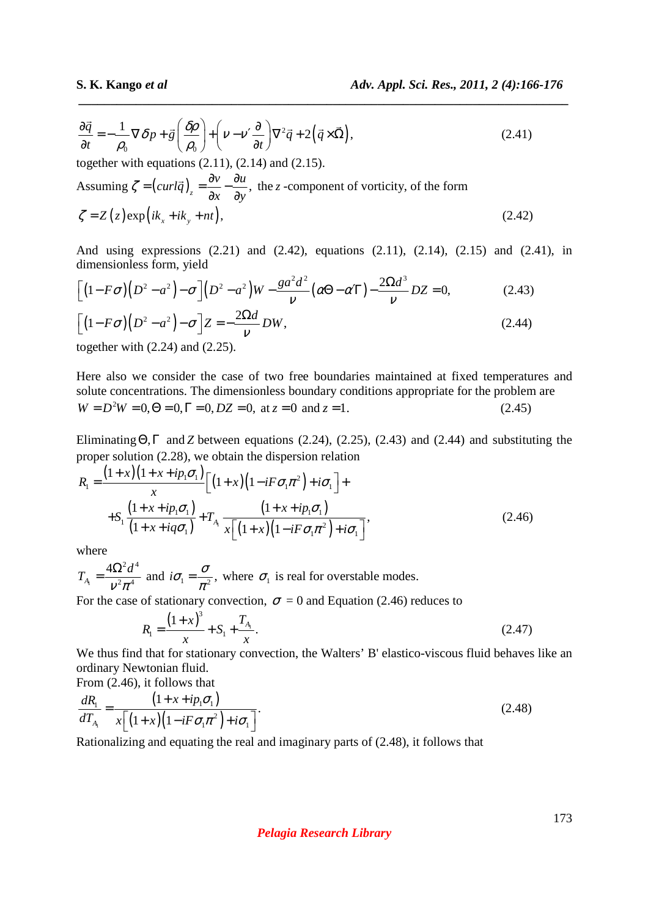$$
\frac{\partial \vec{q}}{\partial t} = -\frac{1}{\rho_0} \nabla \delta p + \vec{g} \left( \frac{\delta \rho}{\rho_0} \right) + \left( \nu - \nu' \frac{\partial}{\partial t} \right) \nabla^2 \vec{q} + 2 \left( \vec{q} \times \vec{\Omega} \right),\tag{2.41}
$$

 *\_\_\_\_\_\_\_\_\_\_\_\_\_\_\_\_\_\_\_\_\_\_\_\_\_\_\_\_\_\_\_\_\_\_\_\_\_\_\_\_\_\_\_\_\_\_\_\_\_\_\_\_\_\_\_\_\_\_\_\_\_\_\_\_\_\_\_\_\_\_\_\_\_\_\_\_\_*

together with equations  $(2.11)$ ,  $(2.14)$  and  $(2.15)$ . Assuming  $\zeta = \left(\frac{curl\vec{q}}{2}\right)_{z} = \frac{\partial v}{\partial x} - \frac{\partial u}{\partial y}$ *x dy*  $\zeta = (curl \vec{q}) = \frac{\partial v}{\partial x} - \frac{\partial v}{\partial y}$  $\partial x \partial$  $\overline{a}$  the *z* -component of vorticity, of the form  $\zeta = Z(z) \exp\left( i k_x + i k_y + n t \right),$  (2.42)

And using expressions (2.21) and (2.42), equations (2.11), (2.14), (2.15) and (2.41), in dimensionless form, yield

$$
\[ \left(1 - F\sigma\right) \left(D^2 - a^2\right) - \sigma \] \left(D^2 - a^2\right) W - \frac{g a^2 d^2}{\nu} \left(\alpha \Theta - \alpha \Gamma\right) - \frac{2\Omega d^3}{\nu} DZ = 0, \tag{2.43}
$$

$$
\[ (1 - F\sigma)(D^2 - a^2) - \sigma \] Z = -\frac{2\Omega d}{\nu} DW,
$$
\n(2.44)

together with (2.24) and (2.25).

Here also we consider the case of two free boundaries maintained at fixed temperatures and solute concentrations. The dimensionless boundary conditions appropriate for the problem are  $W = D<sup>2</sup>W = 0, \Theta = 0, \Gamma = 0, DZ = 0, \text{ at } z = 0 \text{ and } z = 1.$  (2.45)

Eliminating  $\Theta$ ,  $\Gamma$  and *Z* between equations (2.24), (2.25), (2.43) and (2.44) and substituting the proper solution (2.28), we obtain the dispersion relation

$$
R_{1} = \frac{(1+x)(1+x+ip_{1}\sigma_{1})}{x} \Big[ (1+x)(1-iF\sigma_{1}\pi^{2})+i\sigma_{1} \Big] +
$$
  
+
$$
S_{1} \frac{(1+x+ip_{1}\sigma_{1})}{(1+x+iq\sigma_{1})} + T_{A_{1}} \frac{(1+x+ip_{1}\sigma_{1})}{x \Big[ (1+x)(1-iF\sigma_{1}\pi^{2})+i\sigma_{1} \Big]},
$$
(2.46)

where

1  $2 \mathcal{A}^4$  $2 - 4$ 4 *A*  $T_{A} = \frac{4\Omega^2 d}{r^2}$  $v^2 \pi$  $=\frac{4\Omega^2 d^4}{v^2 \pi^4}$  and  $i\sigma_1 = \frac{\sigma}{\pi^2}$ ,  $=\frac{6}{\pi^2}$ , where  $\sigma_1$  is real for overstable modes.

For the case of stationary convection,  $\sigma = 0$  and Equation (2.46) reduces to

$$
R_1 = \frac{(1+x)^3}{x} + S_1 + \frac{T_{A_1}}{x}.
$$
\n(2.47)

We thus find that for stationary convection, the Walters' B' elastico-viscous fluid behaves like an ordinary Newtonian fluid.

From (2.46), it follows that  
\n
$$
\frac{dR_1}{dT_{A_1}} = \frac{\left(1 + x + ip_1 \sigma_1\right)}{x\left[\left(1 + x\right)\left(1 - iF\sigma_1 \pi^2\right) + i\sigma_1\right]}.
$$
\n(2.48)

Rationalizing and equating the real and imaginary parts of (2.48), it follows that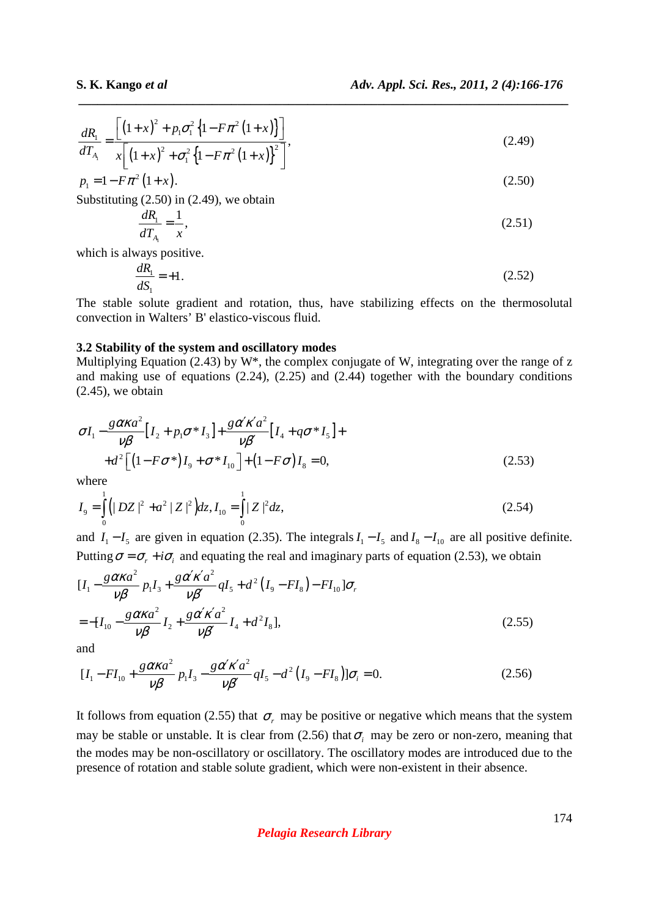$$
\frac{dR_1}{dT_{A_1}} = \frac{\left[ (1+x)^2 + p_1 \sigma_1^2 \left\{ 1 - F \pi^2 \left( 1+x \right) \right\} \right]}{x \left[ \left( 1+x \right)^2 + \sigma_1^2 \left\{ 1 - F \pi^2 \left( 1+x \right) \right\}^2 \right]},
$$
\n(2.49)

 *\_\_\_\_\_\_\_\_\_\_\_\_\_\_\_\_\_\_\_\_\_\_\_\_\_\_\_\_\_\_\_\_\_\_\_\_\_\_\_\_\_\_\_\_\_\_\_\_\_\_\_\_\_\_\_\_\_\_\_\_\_\_\_\_\_\_\_\_\_\_\_\_\_\_\_\_\_*

$$
p_1 = 1 - F\pi^2 (1 + x). \tag{2.50}
$$

Substituting (2.50) in (2.49), we obtain

$$
\frac{dR_1}{dT_{A_1}} = \frac{1}{x},\tag{2.51}
$$

which is always positive.

$$
\frac{dR_1}{dS_1} = +1.
$$
\n(2.52)

The stable solute gradient and rotation, thus, have stabilizing effects on the thermosolutal convection in Walters' B' elastico-viscous fluid.

#### **3.2 Stability of the system and oscillatory modes**

Multiplying Equation (2.43) by W<sup>\*</sup>, the complex conjugate of W, integrating over the range of z and making use of equations (2.24), (2.25) and (2.44) together with the boundary conditions  $(2.45)$ , we obtain

$$
\sigma I_1 - \frac{g \alpha \kappa a^2}{\nu \beta} [I_2 + p_1 \sigma^* I_3] + \frac{g \alpha' \kappa' a^2}{\nu \beta'} [I_4 + q \sigma^* I_5] +
$$
  
+ 
$$
d^2 \left[ (1 - F \sigma^*) I_9 + \sigma^* I_{10} \right] + (1 - F \sigma) I_8 = 0,
$$
 (2.53)

where

$$
I_9 = \int_0^1 \left( |DZ|^2 + a^2 |Z|^2 \right) dz, I_{10} = \int_0^1 |Z|^2 dz,
$$
 (2.54)

and  $I_1 - I_5$  are given in equation (2.35). The integrals  $I_1 - I_5$  and  $I_8 - I_{10}$  are all positive definite. Putting  $\sigma = \sigma_r + i\sigma_i$  and equating the real and imaginary parts of equation (2.53), we obtain

$$
[I_{1} - \frac{g\alpha\kappa a^{2}}{\nu\beta} p_{1}I_{3} + \frac{g\alpha'\kappa'a^{2}}{\nu\beta'}qI_{5} + d^{2}(I_{9} - FI_{8}) - FI_{10}] \sigma_{r}
$$
  
= -[I\_{10} - \frac{g\alpha\kappa a^{2}}{\nu\beta} I\_{2} + \frac{g\alpha'\kappa'a^{2}}{\nu\beta'} I\_{4} + d^{2}I\_{8}], (2.55)

and

$$
[I_1 - FI_{10} + \frac{g\alpha\kappa a^2}{\nu\beta} p_1 I_3 - \frac{g\alpha'\kappa' a^2}{\nu\beta'} qI_5 - d^2 (I_9 - FI_8)]\sigma_i = 0.
$$
 (2.56)

It follows from equation (2.55) that  $\sigma_r$  may be positive or negative which means that the system may be stable or unstable. It is clear from  $(2.56)$  that  $\sigma_i$  may be zero or non-zero, meaning that the modes may be non-oscillatory or oscillatory. The oscillatory modes are introduced due to the presence of rotation and stable solute gradient, which were non-existent in their absence.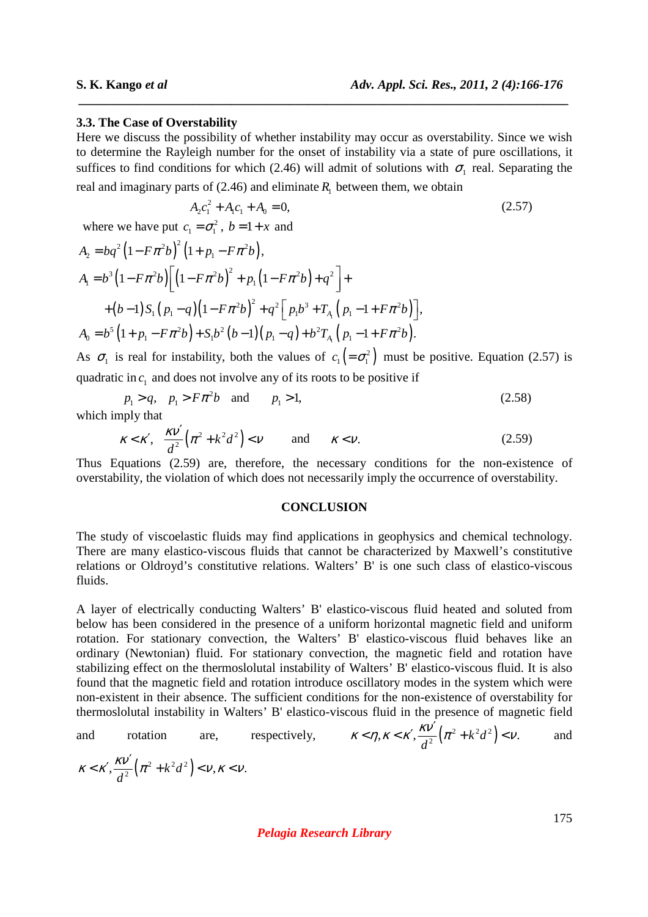#### **3.3. The Case of Overstability**

Here we discuss the possibility of whether instability may occur as overstability. Since we wish to determine the Rayleigh number for the onset of instability via a state of pure oscillations, it suffices to find conditions for which (2.46) will admit of solutions with  $\sigma_1$  real. Separating the

 *\_\_\_\_\_\_\_\_\_\_\_\_\_\_\_\_\_\_\_\_\_\_\_\_\_\_\_\_\_\_\_\_\_\_\_\_\_\_\_\_\_\_\_\_\_\_\_\_\_\_\_\_\_\_\_\_\_\_\_\_\_\_\_\_\_\_\_\_\_\_\_\_\_\_\_\_\_*

real and imaginary parts of (2.46) and eliminate 
$$
R_1
$$
 between them, we obtain  
\n
$$
A_2c_1^2 + A_1c_1 + A_0 = 0,
$$
\n(2.57)

where we have put  $c_1 = \sigma_1^2$ ,  $b = 1 + x$  and

$$
A_2 = bq^2 (1 - F\pi^2 b)^2 (1 + p_1 - F\pi^2 b),
$$
  
\n
$$
A_1 = b^3 (1 - F\pi^2 b) \Big[ (1 - F\pi^2 b)^2 + p_1 (1 - F\pi^2 b) + q^2 \Big] +
$$
  
\n
$$
+ (b - 1) S_1 (p_1 - q) (1 - F\pi^2 b)^2 + q^2 [p_1 b^3 + T_{A_1} (p_1 - 1 + F\pi^2 b)],
$$
  
\n
$$
A_0 = b^5 (1 + p_1 - F\pi^2 b) + S_1 b^2 (b - 1) (p_1 - q) + b^2 T_{A_1} (p_1 - 1 + F\pi^2 b).
$$

As  $\sigma_1$  is real for instability, both the values of  $c_1 = \sigma_1^2$  must be positive. Equation (2.57) is quadratic in  $c_1$  and does not involve any of its roots to be positive if

$$
p_1 > q, \quad p_1 > F\pi^2 b \quad \text{and} \quad p_1 > 1,
$$
\nwhich imply that

\n
$$
p_1 > q, \quad p_2 > F\pi^2 b \quad \text{and} \quad p_3 > 1,
$$
\n(2.58)

which imply that

$$
\kappa < \kappa', \quad \frac{\kappa \nu'}{d^2} \left( \pi^2 + k^2 d^2 \right) < \nu \qquad \text{and} \qquad \kappa < \nu. \tag{2.59}
$$

Thus Equations (2.59) are, therefore, the necessary conditions for the non-existence of overstability, the violation of which does not necessarily imply the occurrence of overstability.

#### **CONCLUSION**

The study of viscoelastic fluids may find applications in geophysics and chemical technology. There are many elastico-viscous fluids that cannot be characterized by Maxwell's constitutive relations or Oldroyd's constitutive relations. Walters' B' is one such class of elastico-viscous fluids.

A layer of electrically conducting Walters' B' elastico-viscous fluid heated and soluted from below has been considered in the presence of a uniform horizontal magnetic field and uniform rotation. For stationary convection, the Walters' B' elastico-viscous fluid behaves like an ordinary (Newtonian) fluid. For stationary convection, the magnetic field and rotation have stabilizing effect on the thermoslolutal instability of Walters' B' elastico-viscous fluid. It is also found that the magnetic field and rotation introduce oscillatory modes in the system which were non-existent in their absence. The sufficient conditions for the non-existence of overstability for thermoslolutal instability in Walters' B' elastico-viscous fluid in the presence of magnetic field

and rotation are, respectively, 
$$
\kappa < \eta, \kappa < \kappa', \frac{\kappa \nu'}{d^2} (\pi^2 + k^2 d^2) < \nu
$$
. and  $\kappa < \kappa', \frac{\kappa \nu'}{d^2} (\pi^2 + k^2 d^2) < \nu, \kappa < \nu$ .

#### *Pelagia Research Library*